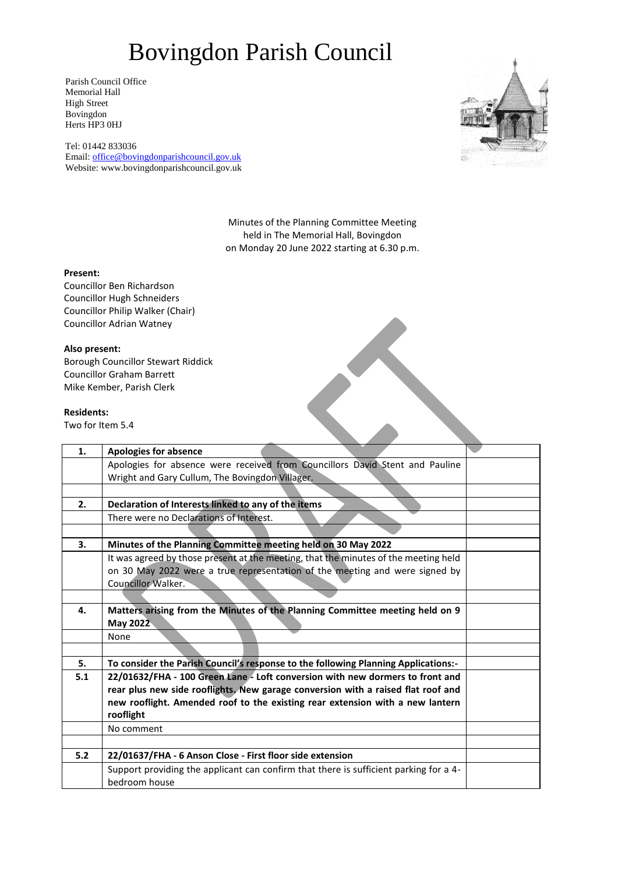### Bovingdon Parish Council

Parish Council Office Memorial Hall High Street Bovingdon Herts HP3 0HJ

Tel: 01442 833036 Email: [office@bovingdonparishcouncil.gov.uk](mailto:office@bovingdonparishcouncil.gov.uk) Website: www.bovingdonparishcouncil.gov.uk



Minutes of the Planning Committee Meeting held in The Memorial Hall, Bovingdon on Monday 20 June 2022 starting at 6.30 p.m.

### **Present:**

Councillor Ben Richardson Councillor Hugh Schneiders Councillor Philip Walker (Chair) Councillor Adrian Watney

#### **Also present:**

Borough Councillor Stewart Riddick Councillor Graham Barrett Mike Kember, Parish Clerk

### **Residents:**

|                   | Borough Councillor Stewart Riddick                                                    |  |
|-------------------|---------------------------------------------------------------------------------------|--|
|                   | <b>Councillor Graham Barrett</b>                                                      |  |
|                   | Mike Kember, Parish Clerk                                                             |  |
|                   |                                                                                       |  |
| <b>Residents:</b> |                                                                                       |  |
| Two for Item 5.4  |                                                                                       |  |
|                   |                                                                                       |  |
| 1.                | <b>Apologies for absence</b>                                                          |  |
|                   | Apologies for absence were received from Councillors David Stent and Pauline          |  |
|                   | Wright and Gary Cullum, The Bovingdon Villager.                                       |  |
|                   |                                                                                       |  |
| 2.                | Declaration of Interests linked to any of the items                                   |  |
|                   | There were no Declarations of Interest.                                               |  |
|                   |                                                                                       |  |
| 3.                | Minutes of the Planning Committee meeting held on 30 May 2022                         |  |
|                   | It was agreed by those present at the meeting, that the minutes of the meeting held   |  |
|                   | on 30 May 2022 were a true representation of the meeting and were signed by           |  |
|                   | <b>Councillor Walker.</b>                                                             |  |
|                   |                                                                                       |  |
| 4.                | Matters arising from the Minutes of the Planning Committee meeting held on 9          |  |
|                   | May 2022                                                                              |  |
|                   | None                                                                                  |  |
|                   |                                                                                       |  |
| 5.                | To consider the Parish Council's response to the following Planning Applications:-    |  |
| 5.1               | 22/01632/FHA - 100 Green Lane - Loft conversion with new dormers to front and         |  |
|                   | rear plus new side rooflights, New garage conversion with a raised flat roof and      |  |
|                   | new rooflight. Amended roof to the existing rear extension with a new lantern         |  |
|                   | rooflight                                                                             |  |
|                   | No comment                                                                            |  |
|                   |                                                                                       |  |
| 5.2               | 22/01637/FHA - 6 Anson Close - First floor side extension                             |  |
|                   | Support providing the applicant can confirm that there is sufficient parking for a 4- |  |
|                   | bedroom house                                                                         |  |
|                   |                                                                                       |  |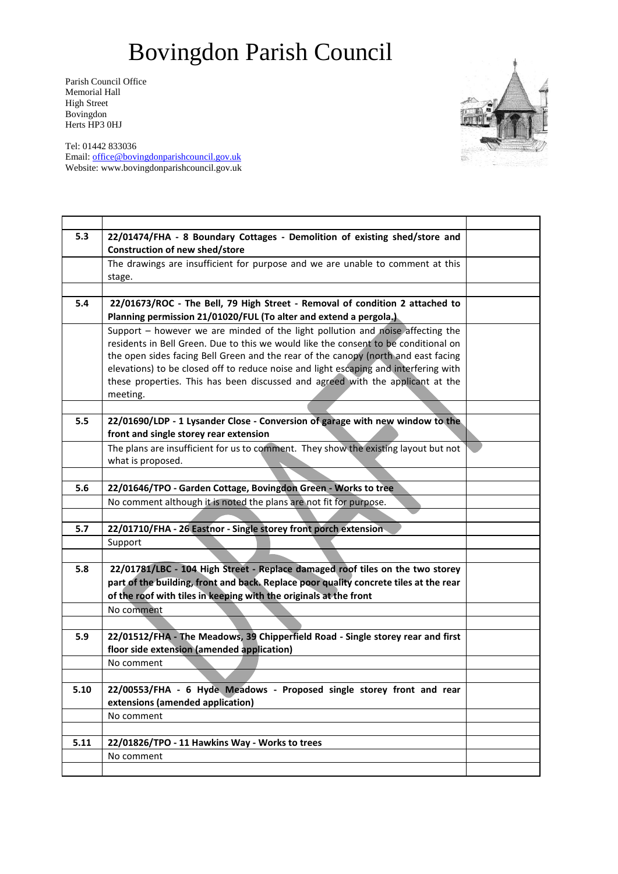# Bovingdon Parish Council

Parish Council Office Memorial Hall High Street Bovingdon Herts HP3 0HJ

Tel: 01442 833036 Email: [office@bovingdonparishcouncil.gov.uk](mailto:office@bovingdonparishcouncil.gov.uk) Website: www.bovingdonparishcouncil.gov.uk



| 5.3  | 22/01474/FHA - 8 Boundary Cottages - Demolition of existing shed/store and            |  |
|------|---------------------------------------------------------------------------------------|--|
|      | <b>Construction of new shed/store</b>                                                 |  |
|      | The drawings are insufficient for purpose and we are unable to comment at this        |  |
|      | stage.                                                                                |  |
|      |                                                                                       |  |
| 5.4  | 22/01673/ROC - The Bell, 79 High Street - Removal of condition 2 attached to          |  |
|      | Planning permission 21/01020/FUL (To alter and extend a pergola.)                     |  |
|      | Support - however we are minded of the light pollution and noise affecting the        |  |
|      | residents in Bell Green. Due to this we would like the consent to be conditional on   |  |
|      | the open sides facing Bell Green and the rear of the canopy (north and east facing    |  |
|      | elevations) to be closed off to reduce noise and light escaping and interfering with  |  |
|      | these properties. This has been discussed and agreed with the applicant at the        |  |
|      | meeting.                                                                              |  |
|      |                                                                                       |  |
| 5.5  | 22/01690/LDP - 1 Lysander Close - Conversion of garage with new window to the         |  |
|      | front and single storey rear extension                                                |  |
|      | The plans are insufficient for us to comment. They show the existing layout but not   |  |
|      | what is proposed.                                                                     |  |
|      |                                                                                       |  |
| 5.6  | 22/01646/TPO - Garden Cottage, Bovingdon Green - Works to tree                        |  |
|      | No comment although it is noted the plans are not fit for purpose.                    |  |
|      |                                                                                       |  |
| 5.7  | 22/01710/FHA - 26 Eastnor - Single storey front porch extension                       |  |
|      | Support                                                                               |  |
|      |                                                                                       |  |
| 5.8  | 22/01781/LBC - 104 High Street - Replace damaged roof tiles on the two storey         |  |
|      | part of the building, front and back. Replace poor quality concrete tiles at the rear |  |
|      | of the roof with tiles in keeping with the originals at the front                     |  |
|      | No comment                                                                            |  |
|      |                                                                                       |  |
| 5.9  | 22/01512/FHA - The Meadows, 39 Chipperfield Road - Single storey rear and first       |  |
|      | floor side extension (amended application)                                            |  |
|      | No comment                                                                            |  |
|      |                                                                                       |  |
| 5.10 | 22/00553/FHA - 6 Hyde Meadows - Proposed single storey front and rear                 |  |
|      | extensions (amended application)                                                      |  |
|      | No comment                                                                            |  |
|      |                                                                                       |  |
| 5.11 | 22/01826/TPO - 11 Hawkins Way - Works to trees                                        |  |
|      | No comment                                                                            |  |
|      |                                                                                       |  |